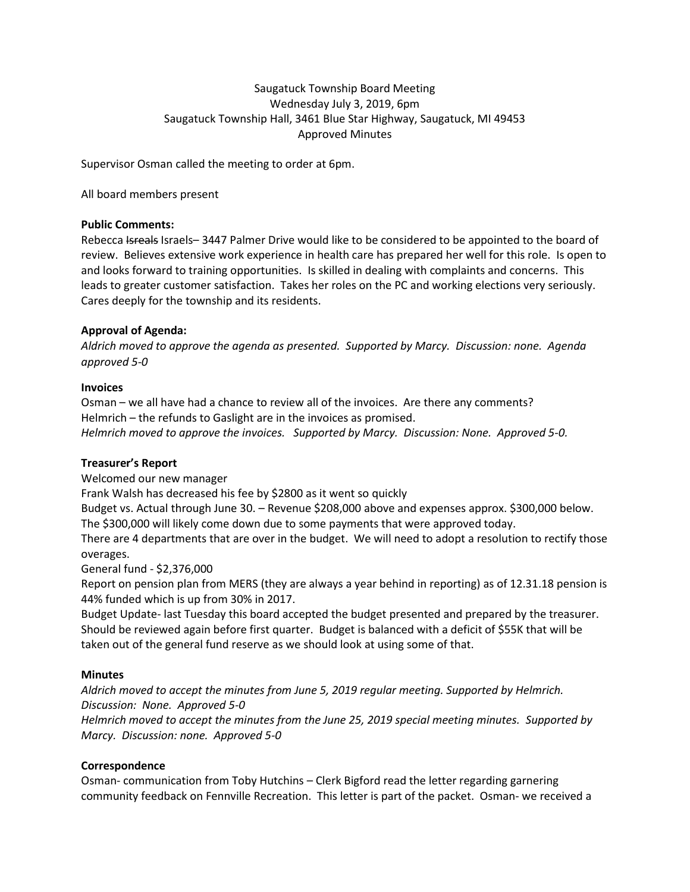# Saugatuck Township Board Meeting Wednesday July 3, 2019, 6pm Saugatuck Township Hall, 3461 Blue Star Highway, Saugatuck, MI 49453 Approved Minutes

Supervisor Osman called the meeting to order at 6pm.

All board members present

### **Public Comments:**

Rebecca Isreals Israels–3447 Palmer Drive would like to be considered to be appointed to the board of review. Believes extensive work experience in health care has prepared her well for this role. Is open to and looks forward to training opportunities. Is skilled in dealing with complaints and concerns. This leads to greater customer satisfaction. Takes her roles on the PC and working elections very seriously. Cares deeply for the township and its residents.

# **Approval of Agenda:**

*Aldrich moved to approve the agenda as presented. Supported by Marcy. Discussion: none. Agenda approved 5-0*

# **Invoices**

Osman – we all have had a chance to review all of the invoices. Are there any comments? Helmrich – the refunds to Gaslight are in the invoices as promised. *Helmrich moved to approve the invoices. Supported by Marcy. Discussion: None. Approved 5-0.*

# **Treasurer's Report**

Welcomed our new manager

Frank Walsh has decreased his fee by \$2800 as it went so quickly

Budget vs. Actual through June 30. – Revenue \$208,000 above and expenses approx. \$300,000 below. The \$300,000 will likely come down due to some payments that were approved today.

There are 4 departments that are over in the budget. We will need to adopt a resolution to rectify those overages.

General fund - \$2,376,000

Report on pension plan from MERS (they are always a year behind in reporting) as of 12.31.18 pension is 44% funded which is up from 30% in 2017.

Budget Update- last Tuesday this board accepted the budget presented and prepared by the treasurer. Should be reviewed again before first quarter. Budget is balanced with a deficit of \$55K that will be taken out of the general fund reserve as we should look at using some of that.

# **Minutes**

*Aldrich moved to accept the minutes from June 5, 2019 regular meeting. Supported by Helmrich. Discussion: None. Approved 5-0 Helmrich moved to accept the minutes from the June 25, 2019 special meeting minutes. Supported by Marcy. Discussion: none. Approved 5-0*

# **Correspondence**

Osman- communication from Toby Hutchins – Clerk Bigford read the letter regarding garnering community feedback on Fennville Recreation. This letter is part of the packet. Osman- we received a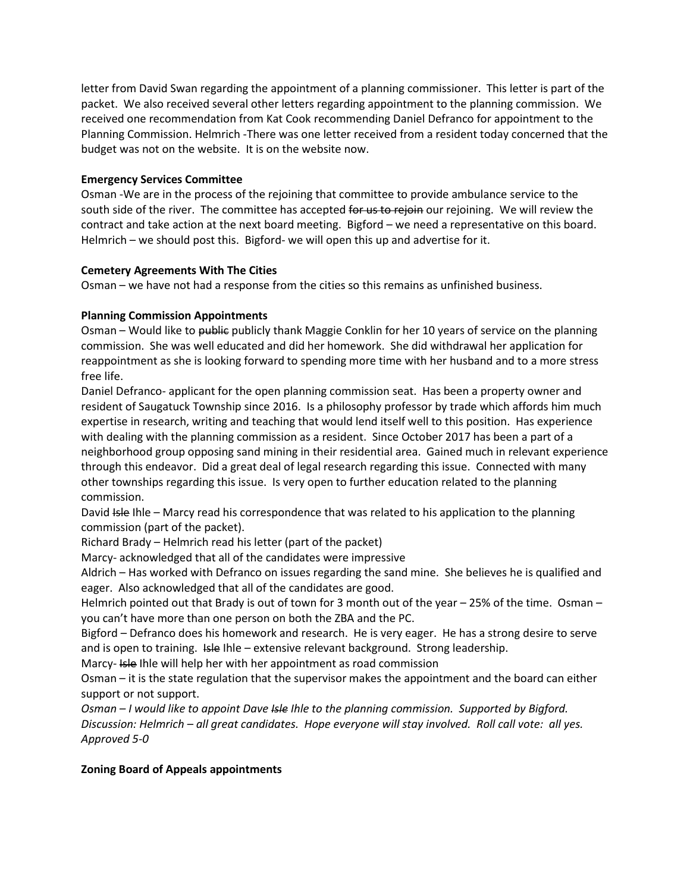letter from David Swan regarding the appointment of a planning commissioner. This letter is part of the packet. We also received several other letters regarding appointment to the planning commission. We received one recommendation from Kat Cook recommending Daniel Defranco for appointment to the Planning Commission. Helmrich -There was one letter received from a resident today concerned that the budget was not on the website. It is on the website now.

# **Emergency Services Committee**

Osman -We are in the process of the rejoining that committee to provide ambulance service to the south side of the river. The committee has accepted for us to rejoin our rejoining. We will review the contract and take action at the next board meeting. Bigford – we need a representative on this board. Helmrich – we should post this. Bigford- we will open this up and advertise for it.

# **Cemetery Agreements With The Cities**

Osman – we have not had a response from the cities so this remains as unfinished business.

# **Planning Commission Appointments**

Osman – Would like to public publicly thank Maggie Conklin for her 10 years of service on the planning commission. She was well educated and did her homework. She did withdrawal her application for reappointment as she is looking forward to spending more time with her husband and to a more stress free life.

Daniel Defranco- applicant for the open planning commission seat. Has been a property owner and resident of Saugatuck Township since 2016. Is a philosophy professor by trade which affords him much expertise in research, writing and teaching that would lend itself well to this position. Has experience with dealing with the planning commission as a resident. Since October 2017 has been a part of a neighborhood group opposing sand mining in their residential area. Gained much in relevant experience through this endeavor. Did a great deal of legal research regarding this issue. Connected with many other townships regarding this issue. Is very open to further education related to the planning commission.

David Isle Ihle – Marcy read his correspondence that was related to his application to the planning commission (part of the packet).

Richard Brady – Helmrich read his letter (part of the packet)

Marcy- acknowledged that all of the candidates were impressive

Aldrich – Has worked with Defranco on issues regarding the sand mine. She believes he is qualified and eager. Also acknowledged that all of the candidates are good.

Helmrich pointed out that Brady is out of town for 3 month out of the year – 25% of the time. Osman – you can't have more than one person on both the ZBA and the PC.

Bigford – Defranco does his homework and research. He is very eager. He has a strong desire to serve and is open to training. Isle Ihle – extensive relevant background. Strong leadership.

Marcy- Isle Ihle will help her with her appointment as road commission

Osman – it is the state regulation that the supervisor makes the appointment and the board can either support or not support.

*Osman – I would like to appoint Dave Isle Ihle to the planning commission. Supported by Bigford. Discussion: Helmrich – all great candidates. Hope everyone will stay involved. Roll call vote: all yes. Approved 5-0*

# **Zoning Board of Appeals appointments**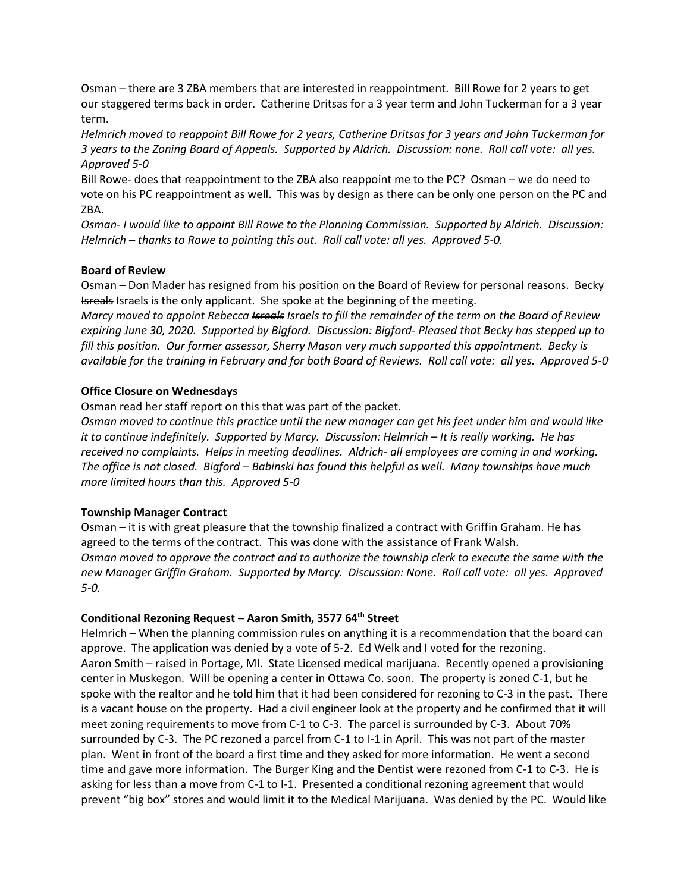Osman – there are 3 ZBA members that are interested in reappointment. Bill Rowe for 2 years to get our staggered terms back in order. Catherine Dritsas for a 3 year term and John Tuckerman for a 3 year term.

*Helmrich moved to reappoint Bill Rowe for 2 years, Catherine Dritsas for 3 years and John Tuckerman for 3 years to the Zoning Board of Appeals. Supported by Aldrich. Discussion: none. Roll call vote: all yes. Approved 5-0*

Bill Rowe- does that reappointment to the ZBA also reappoint me to the PC? Osman – we do need to vote on his PC reappointment as well. This was by design as there can be only one person on the PC and ZBA.

*Osman- I would like to appoint Bill Rowe to the Planning Commission. Supported by Aldrich. Discussion: Helmrich – thanks to Rowe to pointing this out. Roll call vote: all yes. Approved 5-0.*

### **Board of Review**

Osman – Don Mader has resigned from his position on the Board of Review for personal reasons. Becky Isreals Israels is the only applicant. She spoke at the beginning of the meeting.

*Marcy moved to appoint Rebecca Isreals Israels to fill the remainder of the term on the Board of Review expiring June 30, 2020. Supported by Bigford. Discussion: Bigford- Pleased that Becky has stepped up to fill this position. Our former assessor, Sherry Mason very much supported this appointment. Becky is available for the training in February and for both Board of Reviews. Roll call vote: all yes. Approved 5-0*

### **Office Closure on Wednesdays**

Osman read her staff report on this that was part of the packet.

*Osman moved to continue this practice until the new manager can get his feet under him and would like it to continue indefinitely. Supported by Marcy. Discussion: Helmrich – It is really working. He has received no complaints. Helps in meeting deadlines. Aldrich- all employees are coming in and working. The office is not closed. Bigford – Babinski has found this helpful as well. Many townships have much more limited hours than this. Approved 5-0*

# **Township Manager Contract**

Osman – it is with great pleasure that the township finalized a contract with Griffin Graham. He has agreed to the terms of the contract. This was done with the assistance of Frank Walsh. *Osman moved to approve the contract and to authorize the township clerk to execute the same with the new Manager Griffin Graham. Supported by Marcy. Discussion: None. Roll call vote: all yes. Approved 5-0.*

#### **Conditional Rezoning Request – Aaron Smith, 3577 64th Street**

Helmrich – When the planning commission rules on anything it is a recommendation that the board can approve. The application was denied by a vote of 5-2. Ed Welk and I voted for the rezoning. Aaron Smith – raised in Portage, MI. State Licensed medical marijuana. Recently opened a provisioning center in Muskegon. Will be opening a center in Ottawa Co. soon. The property is zoned C-1, but he spoke with the realtor and he told him that it had been considered for rezoning to C-3 in the past. There is a vacant house on the property. Had a civil engineer look at the property and he confirmed that it will meet zoning requirements to move from C-1 to C-3. The parcel is surrounded by C-3. About 70% surrounded by C-3. The PC rezoned a parcel from C-1 to I-1 in April. This was not part of the master plan. Went in front of the board a first time and they asked for more information. He went a second time and gave more information. The Burger King and the Dentist were rezoned from C-1 to C-3. He is asking for less than a move from C-1 to I-1. Presented a conditional rezoning agreement that would prevent "big box" stores and would limit it to the Medical Marijuana. Was denied by the PC. Would like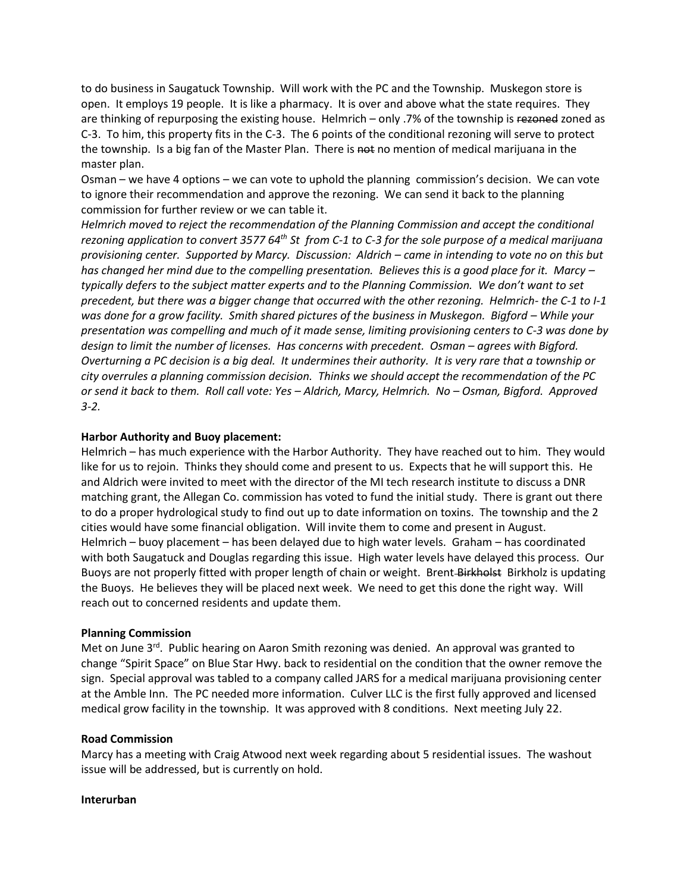to do business in Saugatuck Township. Will work with the PC and the Township. Muskegon store is open. It employs 19 people. It is like a pharmacy. It is over and above what the state requires. They are thinking of repurposing the existing house. Helmrich – only .7% of the township is rezoned zoned as C-3. To him, this property fits in the C-3. The 6 points of the conditional rezoning will serve to protect the township. Is a big fan of the Master Plan. There is not no mention of medical marijuana in the master plan.

Osman – we have 4 options – we can vote to uphold the planning commission's decision. We can vote to ignore their recommendation and approve the rezoning. We can send it back to the planning commission for further review or we can table it.

*Helmrich moved to reject the recommendation of the Planning Commission and accept the conditional rezoning application to convert 3577 64th St from C-1 to C-3 for the sole purpose of a medical marijuana provisioning center. Supported by Marcy. Discussion: Aldrich – came in intending to vote no on this but has changed her mind due to the compelling presentation. Believes this is a good place for it. Marcy – typically defers to the subject matter experts and to the Planning Commission. We don't want to set precedent, but there was a bigger change that occurred with the other rezoning. Helmrich- the C-1 to I-1 was done for a grow facility. Smith shared pictures of the business in Muskegon. Bigford – While your presentation was compelling and much of it made sense, limiting provisioning centers to C-3 was done by design to limit the number of licenses. Has concerns with precedent. Osman – agrees with Bigford. Overturning a PC decision is a big deal. It undermines their authority. It is very rare that a township or city overrules a planning commission decision. Thinks we should accept the recommendation of the PC or send it back to them. Roll call vote: Yes – Aldrich, Marcy, Helmrich. No – Osman, Bigford. Approved 3-2.*

# **Harbor Authority and Buoy placement:**

Helmrich – has much experience with the Harbor Authority. They have reached out to him. They would like for us to rejoin. Thinks they should come and present to us. Expects that he will support this. He and Aldrich were invited to meet with the director of the MI tech research institute to discuss a DNR matching grant, the Allegan Co. commission has voted to fund the initial study. There is grant out there to do a proper hydrological study to find out up to date information on toxins. The township and the 2 cities would have some financial obligation. Will invite them to come and present in August. Helmrich – buoy placement – has been delayed due to high water levels. Graham – has coordinated with both Saugatuck and Douglas regarding this issue. High water levels have delayed this process. Our Buoys are not properly fitted with proper length of chain or weight. Brent Birkholst Birkholz is updating the Buoys. He believes they will be placed next week. We need to get this done the right way. Will reach out to concerned residents and update them.

#### **Planning Commission**

Met on June 3<sup>rd</sup>. Public hearing on Aaron Smith rezoning was denied. An approval was granted to change "Spirit Space" on Blue Star Hwy. back to residential on the condition that the owner remove the sign. Special approval was tabled to a company called JARS for a medical marijuana provisioning center at the Amble Inn. The PC needed more information. Culver LLC is the first fully approved and licensed medical grow facility in the township. It was approved with 8 conditions. Next meeting July 22.

#### **Road Commission**

Marcy has a meeting with Craig Atwood next week regarding about 5 residential issues. The washout issue will be addressed, but is currently on hold.

#### **Interurban**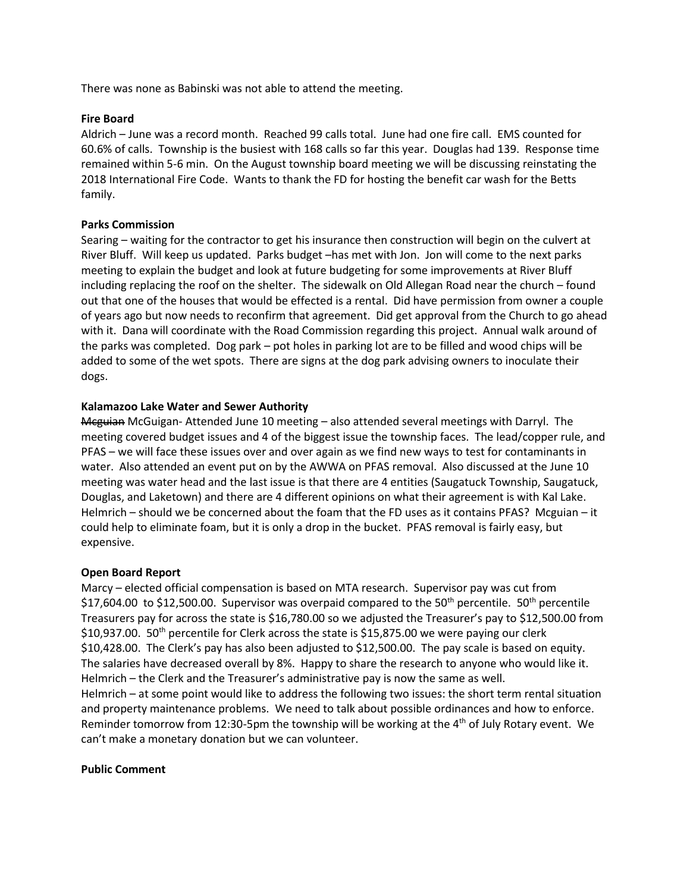There was none as Babinski was not able to attend the meeting.

### **Fire Board**

Aldrich – June was a record month. Reached 99 calls total. June had one fire call. EMS counted for 60.6% of calls. Township is the busiest with 168 calls so far this year. Douglas had 139. Response time remained within 5-6 min. On the August township board meeting we will be discussing reinstating the 2018 International Fire Code. Wants to thank the FD for hosting the benefit car wash for the Betts family.

### **Parks Commission**

Searing – waiting for the contractor to get his insurance then construction will begin on the culvert at River Bluff. Will keep us updated. Parks budget –has met with Jon. Jon will come to the next parks meeting to explain the budget and look at future budgeting for some improvements at River Bluff including replacing the roof on the shelter. The sidewalk on Old Allegan Road near the church – found out that one of the houses that would be effected is a rental. Did have permission from owner a couple of years ago but now needs to reconfirm that agreement. Did get approval from the Church to go ahead with it. Dana will coordinate with the Road Commission regarding this project. Annual walk around of the parks was completed. Dog park – pot holes in parking lot are to be filled and wood chips will be added to some of the wet spots. There are signs at the dog park advising owners to inoculate their dogs.

### **Kalamazoo Lake Water and Sewer Authority**

Mcguian McGuigan- Attended June 10 meeting – also attended several meetings with Darryl. The meeting covered budget issues and 4 of the biggest issue the township faces. The lead/copper rule, and PFAS – we will face these issues over and over again as we find new ways to test for contaminants in water. Also attended an event put on by the AWWA on PFAS removal. Also discussed at the June 10 meeting was water head and the last issue is that there are 4 entities (Saugatuck Township, Saugatuck, Douglas, and Laketown) and there are 4 different opinions on what their agreement is with Kal Lake. Helmrich – should we be concerned about the foam that the FD uses as it contains PFAS? Mcguian – it could help to eliminate foam, but it is only a drop in the bucket. PFAS removal is fairly easy, but expensive.

#### **Open Board Report**

Marcy – elected official compensation is based on MTA research. Supervisor pay was cut from \$17,604.00 to \$12,500.00. Supervisor was overpaid compared to the 50<sup>th</sup> percentile. 50<sup>th</sup> percentile Treasurers pay for across the state is \$16,780.00 so we adjusted the Treasurer's pay to \$12,500.00 from  $$10,937.00$ .  $50<sup>th</sup>$  percentile for Clerk across the state is \$15,875.00 we were paying our clerk \$10,428.00. The Clerk's pay has also been adjusted to \$12,500.00. The pay scale is based on equity. The salaries have decreased overall by 8%. Happy to share the research to anyone who would like it. Helmrich – the Clerk and the Treasurer's administrative pay is now the same as well. Helmrich – at some point would like to address the following two issues: the short term rental situation and property maintenance problems. We need to talk about possible ordinances and how to enforce. Reminder tomorrow from 12:30-5pm the township will be working at the  $4<sup>th</sup>$  of July Rotary event. We can't make a monetary donation but we can volunteer.

#### **Public Comment**